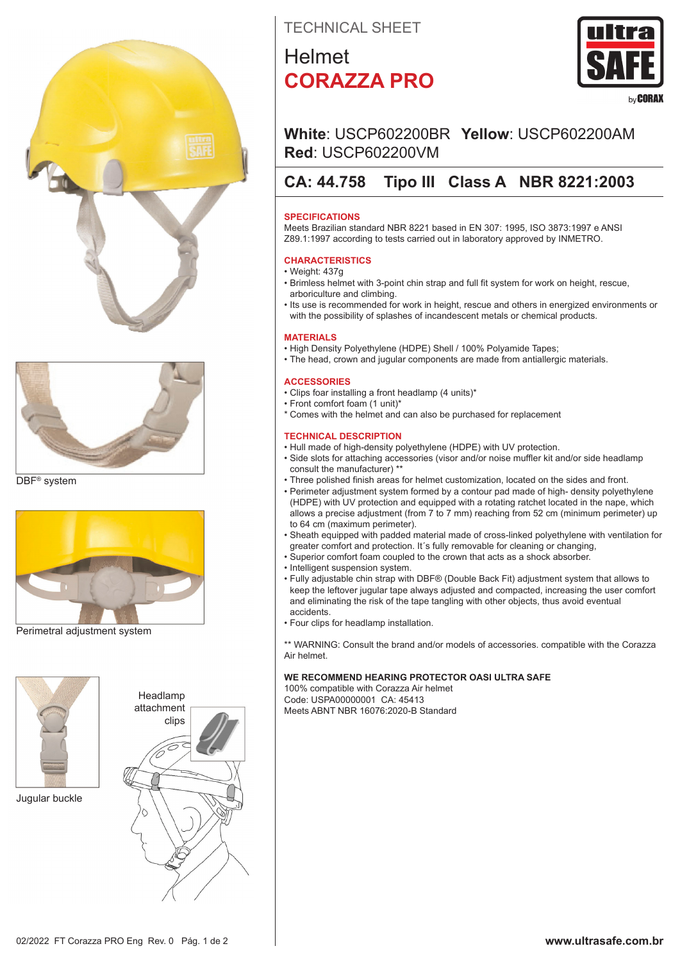



DBF® system



Perimetral adjustment system



Jugular buckle



TECHNICAL SHEET

## Helmet **CORAZZA PRO**



## **White**: USCP602200BR **Yellow**: USCP602200AM **Red**: USCP602200VM

## **CA: 44.758 Tipo III Class A NBR 8221:2003**

### **SPECIFICATIONS**

Meets Brazilian standard NBR 8221 based in EN 307: 1995, ISO 3873:1997 e ANSI Z89.1:1997 according to tests carried out in laboratory approved by INMETRO.

### **CHARACTERISTICS**

- Weight: 437g
- Brimless helmet with 3-point chin strap and full fit system for work on height, rescue, arboriculture and climbing.
- Its use is recommended for work in height, rescue and others in energized environments or with the possibility of splashes of incandescent metals or chemical products.

### **MATERIALS**

- High Density Polyethylene (HDPE) Shell / 100% Polyamide Tapes;
- The head, crown and jugular components are made from antiallergic materials.

### **ACCESSORIES**

- Clips foar installing a front headlamp (4 units)\*
- Front comfort foam (1 unit)\*
- \* Comes with the helmet and can also be purchased for replacement

### **TECHNICAL DESCRIPTION**

- Hull made of high-density polyethylene (HDPE) with UV protection.
- Side slots for attaching accessories (visor and/or noise muffler kit and/or side headlamp consult the manufacturer) \*\*
- Three polished finish areas for helmet customization, located on the sides and front.
- Perimeter adjustment system formed by a contour pad made of high- density polyethylene (HDPE) with UV protection and equipped with a rotating ratchet located in the nape, which allows a precise adjustment (from 7 to 7 mm) reaching from 52 cm (minimum perimeter) up to 64 cm (maximum perimeter).
- Sheath equipped with padded material made of cross-linked polyethylene with ventilation for greater comfort and protection. It´s fully removable for cleaning or changing,
- Superior comfort foam coupled to the crown that acts as a shock absorber.
- Intelligent suspension system.
- Fully adjustable chin strap with DBF® (Double Back Fit) adjustment system that allows to keep the leftover jugular tape always adjusted and compacted, increasing the user comfort and eliminating the risk of the tape tangling with other objects, thus avoid eventual accidents.
- Four clips for headlamp installation.

\*\* WARNING: Consult the brand and/or models of accessories. compatible with the Corazza Air helmet.

### **WE RECOMMEND HEARING PROTECTOR OASI ULTRA SAFE**

100% compatible with Corazza Air helmet Code: USPA00000001 CA: 45413 Meets ABNT NBR 16076:2020-B Standard